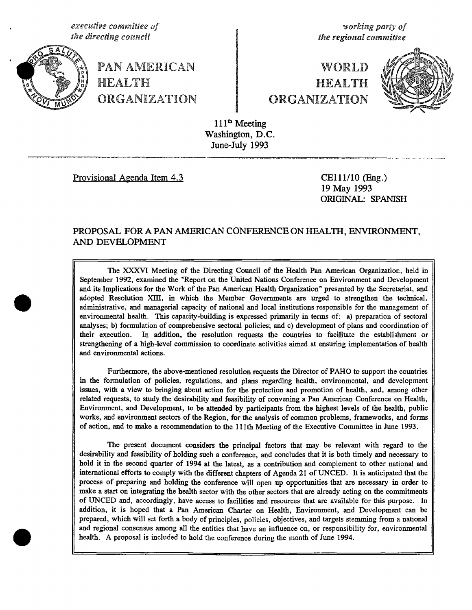, **execu**ti**ve comm**it**tee of working party** o**f**



PAN AMERICAN **WORLD**  $\mathbb{Z}$  HEALTH  $\mathbb{H}$ ORGANIZATION **O**RGANIZATION

**l**h**e direc**t**i**n**g counc**il **the regiona**l **committee**



111<sup>th</sup> Meeting Washington, D.C. June-July 1993

Pr*ovisional Agenda Item 4.3 C*E111**/**10 (Fag.)

19 May 1993 ORIGINAL: SPANISH

# PROPOSAL FOR A PAN AMERICAN CONFERENCE ON HEALTH, ENVIRONMENT, AND DEVELOPMENT

The XXXVI Meeting o*f* the Directing Council of the *H*ealth Pan American Organization, held in September 1992, examined the "Report on the United Nations Conference on Environment and Development and its Implications for the Work of the Pan American Health Organization' presented by the Secretariat, and adopted Resolution XIII, in which the Member Governments are urged to **s**trengthen the technical, administrative, and managerial capacity of national and local institutions responsible for the management of environmental health. This capacity-building is expressed primarily in terms of: a) preparation of sectoral analy**s**es; b) formulation of comprehensive **s**ectoral policies; and c) development of plans and coordination of their execution. In addition, the resolution requests the countries to facilitate the establishment or strengthening of a high-level commission to coordinate activities aimed at ensuring implementation of health and environmental aetions.

Furthermore, the above-mentioned resolution requests the Director of PAHO to support the countries in the formulation of policies**,** regulations, and plans regarding health, environmental, and development issues, with a view to bringing about action for the protection and promotion of health, and, among other related requests, to study the desirability and feasibility of convening a Pan American Conference on Health, Environment, and Development**,** to be attended by participants from the highest levels of the health, public work*s*, and environment sectors of the Region**,** for the analysis of common problems, frameworks, and forms of aetion, and to make a recommendation to the 11lth Meeting of the Executive Committee in June 1993.

The present document considers the principal factors that may be relevant with regard to the desirability and feasibility of holding such a conferenee, and concludes that it is both timely and necessary to hold it in the second quarter of 1994 at the latest, as a contribution and complement to other national and international efforts to comply with the different chapters of Agenda 21 of UNCED. It is anticipated that the process of preparing and holding the conference will open up opportunities that are necessary in order to make a start on integrating the health sector with the other sectors that are already acting on the commitments of UNCED and**,** accordingly, have access to facilities and resources that are available for this purpose. In addition, it is hoped that a Pan American Cha**r**ter on Health, Environment, and Development can be prepared, which will set forth a body of principles, policies, objectives, and targets stemming from a national and regional consensus among all the entities that have an influence on, or responsibility for, environmental health. A proposal is included to hold the conference during the month of June 1994.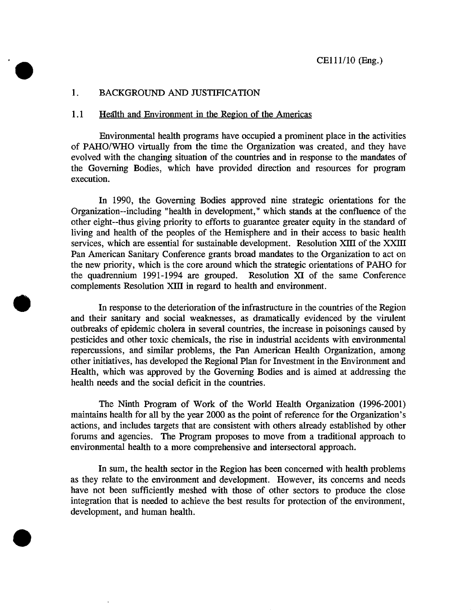#### 1. BACKGROUND AND JUSTIFICATION

'

#### 1.1 Health and Environment in the Region of the Americas

Environmental health programs have occupied a prominent place in the activities of PAHO**/**WHO virtually from the time the Organization was created, and they have evolved with the changing situation of the countries and in response to the mandates of the Governing Bodies, which have provided direction and resources for program execution.

In 1990, the Governing Bodies approved nine strategic orientations for the Organization--including "health in development," which stands at the confluence of the other eight--thus giving priority to efforts to guarantee greater equity in the standard of living and health of the peoples of the Hemisphere and in their access to basic health services, which are essential for sustainable development. Resolution XIII of the XXIII Pan American Sanitary Conference grants broad mandates to the Organization to act on the new priority, which is the core around which the strategic orientations of PAHO for the quadrennium 1991-1994 are grouped. Resolution XI of the same Conference complements Resolution Xlll in regard to health and environment.

In response to the deterio**r**ation of the infrastructure in the countries of the Region and their sanitary and social weaknesses, as dramatically evidenced by the virulent outbreaks of epidemic cholera in several countries, the increase in poisonings caused by pesticides and other toxic chemicals, the rise in industrial accidents with environmental repercussions, and similar problems, the Pan American Health Organization, among other initiatives, has developed the Regional Plan for Investment in the Environment and Health, which was approved by the Governing Bodies and is aimed at addressing the health needs and the social deficit in the countries.

The Ninth Program of W*o*rk *o*f the World Health Organization (1996-2001) maintains health for all by the year 2000 as the point of reference for the Organization's actions, and includes targets that are consistent with others already established by other forums and agencies. The Program proposes to move from a traditional approach to environmental health to a more comprehensive and interse**c**toral approach.

In sum, the health se**c**tor in the Region has been concerned with health problems as they relate to the environment and development. However, its concerns and needs have not been sufficiently meshed with those of other sectors to produce the close integration that is needed to achieve the best results for protection of the environment, development, and human health.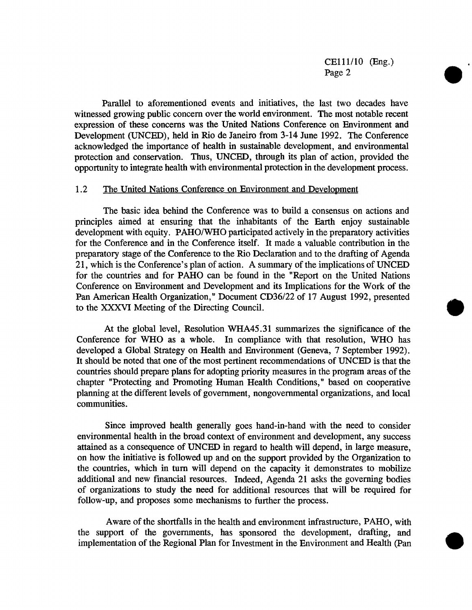CElll**/**10 (Eng.) Page 2

Parallel to aforementioned events and initiatives, the last two decades have witnessed growing public concern over the world environment. The most notable recent expression of these concerns was the United Nations Conference on Environment and Development (UNCED), held in Rio de Janeiro from 3-14 June 1992. The Conference acknowledged the importance of health in sustainable development, and environmental protection and conservation. Thus, UNCED, through its plan of action, provided the oppo*r*tunity to integrate health with environmental protection in the development process.

#### 1.2 The United Nations Conference on Environment and Development

The basic idea behind the Conference was to build a consensus on actions and principles aimed at ensuring that the inhabitants of the Earth enjoy sustainable development with equity. PAHO**/**WHO participated actively in the preparatory activities for the Conference and in the Conference itself. It made a valuable contribution in the preparatory stage of the Conference to the Rio Declaration and to the drafting of Agenda 21, which is the Conference's plan of action. A summary of the implications of UNCED for the countries and for PAHO can be found in the "Report on the United Nations Conference on Environment and Development and its Implications for the Work of the Pan American Health Organization," Document CD36**/**22 of 17 August 1992, presented to the XXXVI Meeting of the Directing Council.

At the global level, Resolution WHA45.31 summarizes the significance of the Conference for WHO as a whole. In c*o*mpliance with that resoluti*o*n, WHO has developed a Global Strategy on Health and Environment (Geneva, 7 September 1992). It should be n*o*ted that one of the most pertinent recommendations of UNCED is that the countries should prepare plans for adopting priority measures in the program areas of the chapter "Protecting and Promoting Human Health Conditions," based *o*n cooperative planning at the different levels of government, nongovernmental organizations, and local communities.

Since improved health generally goes hand-in-hand with the need to consider environmental health in the broad context of environment and development, any success attained as a consequence of UNCED in regard to health will depend, in large measure, on how the initiative is followed up and on the support provided by the Organization to the countries, which in turn will depend on the capacity it demonstrates to mobilize additional and new financial resources. Indeed, Agenda 21 asks the governing bodies of organizati*o*ns t*o* study the need for additional resources that will be required for follow-up, and proposes some mechanisms to further the process.

Aware of the shortfalls in the health and environment infrastructure, PAHO, with the support of the governments, has sponsored the development, drafting, and implementation of the Regional Plan for Investment in the Environment and Health (Pan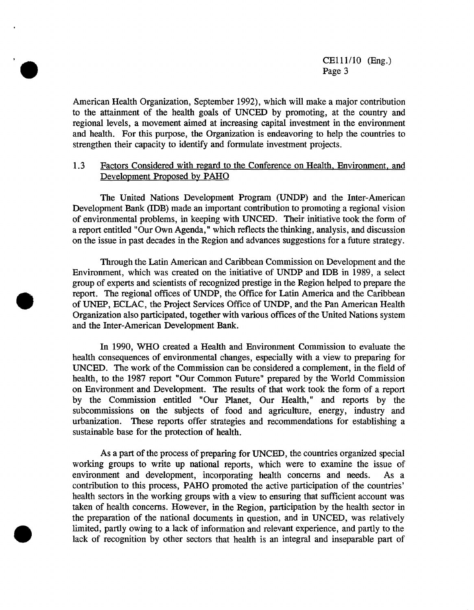American Health Organization, September 1992), which will make a major contribution to the attainment of the health goals of UNCED by promoting, at the country and regional levels, a movement aimed at increasing capital investment in the environment and health. For this purpose, the Organization is endeavoring to help the countries to strengthen their capacity to identify and formulate investment projects.

# 1.3 Factors Considered with regard to the Conference on Health, Environment, and Development Proposed by PAHO

The United Nations Development Program (UND*P*) and the Inter-American Development Bank (IDB) made an important contribution to promoting a regional vision of environmental problems, in keeping with UNCED. Their initiative took the form of a report entitled "Our Own Agenda," which reflects the thinking, analysis, and discussion on the issue in past decades in the Region and advances suggestions for a future strategy.

Through the **L**atin American and Caribbean Commission on Development and the Environment, which was created on the initiative of UNDP and IDB in 1989, a select group of experts and scientists of recognized prestige in the Region helped to prepare the report. The regional offices of UNDP, the Office for Latin America and the Caribbean of UNEP, ECLAC, the Project Services Office of UNDP, and the Pan American Health Organization also participated, together with various offices of the United Nations system and the Inter-American Development Bank.

In 1990, WHO created a Health and Environment Commission to evaluate the health consequences of environmental changes, especially with a view to preparing for UNCED. The work of the Commission can be considered a complement, in the field of health, to the 1987 report "Our Common Future" prepared by the World Commission on Environment and Development. The results of that work took the form of a report by the Commission entitled "Our Planet, Our Health," and reports by the subcommissions on the subjects of food and agriculture, energy, industry and urbanization. These reports offer strategies and recommendations for establishing a These reports offer strategies and recommendations for establishing a sustainable base for the protection of health.

As a part of the process of preparing for UNCED, the countries organized special working groups to write up national reports, which were to examine the issue of environment and development, incorporating health concerns and needs. As a environment and development, incorporating health concerns and needs. contribution to this process, PAHO promoted the active participation of the countries' health sectors in the working groups with a view to ensuring that sufficient account was taken of health concerns. However, in the Region, participation by the health sector in the preparation of the national documents in question, and in UNCED, was relatively limited, partly owing to a lack of information and relevant experience, and partly to the lack of recognition by other sectors that health is an integral and inseparable part of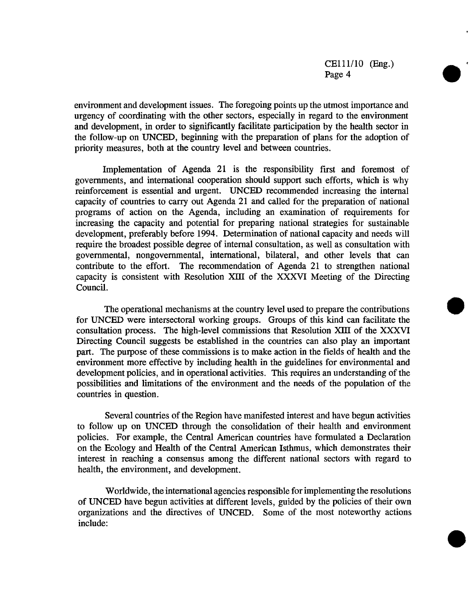environment and development issues. The f*o*regoing points up the utmost importance and urgency of c*o*ordinating with the *o*ther sect*o*rs, especially in regard to the environment and development, in *o*rder t*o* significantly facilitate participation by the health sector in the follow-up on UNCED, beginning with the preparati*o*n of plans for the adoption of priority measures, b*o*th at the country level and between countries.

Implementation of Agenda 21 is the responsibility first and foremost of governments, and international c*oo*peration should support such efforts, which is why reinforcement is essential and urgent. UNCED recommended increasing the internal capacity *o*f countries to carry *o*ut Agenda 21 and called for the preparation of national programs of action on the Agenda, including an examination of requirements for increasing the capacity and potential for preparing national strategies for sustainable development, preferably bef*o*re 1994. Determination of national capacity and needs will require the broadest possible degree of internal consultation, as well as consultation with g*o*vernmental**,** nong*o*vernmental, international, bilateral, and *o*ther levels that can contribute to the effort. The recommendation of Agenda 21 to strengthen national capacity is consistent with Resolution XIII *o*f the XXXVI Meeting of the Directing Council.

The operational mechanisms at the country level used to prepare the contributions for UNCED were intersectoral working groups. Groups of this kind can facilitate the consultation process. The high-level commissions that Resolution **XIII** of the XXXVI Directing Council suggests be established in the countries can also play an important part. The purpose of these commissions is to make action in the fields of health and the environment more effective by including health in the guidelines for environmental and development policies, and in operational activities. This requires an understanding of the possibilities and limitations of the environment and the needs of the population of the countries in question.

Several countries of the Region have manifested interest and have begun activities to follow up on UNCED through the consolidation of their health and environment policies. For example, the Central American countries have formulated a Declaration on the Ecology and Health of the Central American Isthmus, which demonstrates their interest in reaching a consensus among the different national sectors with regard to health, the environment, and development.

Worldwide, the international agencies responsible for implementing the resolutions of UNCED have begun activities at different levels, guided by the policies of their own organizations and the directives of UNCED. Some of the most noteworthy actions include: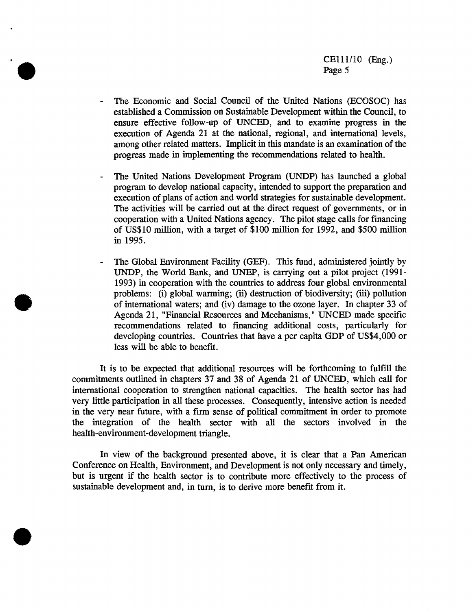- The Economic and Social Council of the United Nations (ECOSOC) has established a Commission on Sustainable Development within the Council, to ensure effective follow-up of UNCED, and to examine progress in the execution of Agenda 21 at the national, regional, and international levels, among other related matters. Implicit in this mandate is an examination of the progress made in implementing the recommendations related to health.
- The United Nations Development Program (UNDP) has launched a global program to develop national capacity, intended to support the preparation and execution of plans of action and world st**r**ategies for sustainable development. The activities will be carried out at the direct request of governments, or in cooperation with a United Nations agency. The pilot stage calls for financing of USS10 million, with a target of \$100 million for 1992, and \$500 million in 1995.
- *-* The *G*lobal Environment Facility (*G*EF)**.** This fund, administered jointly by UNDP, the World Bank, and UNEP, is carrying out a pilot project (1991- 1993) in cooperation with the countries to address four global environmental problems: (i) global warming; (ii) destruction of biodiversity; (iii) pollution of international waters; and (iv) damage to the ozone layer. In chapter 33 of Agenda 21, "Financial Resources and Mechanisms," UNCED made specific recommendations related to financing additional costs, particularly for developing countries. Countries that have a per capita GDP of US\$4,000 or less will be able to benefit.

It is to be expected that additional resources will be forthcoming to fulfill the commitments outlined in chapters 37 and 38 of Agenda 21 of UNCED, which call for international cooperation to strengthen national capacities. The health sector has had very little participation in all these processes. Consequently, intensive action is needed in the very near future, with a firm sense of political commitment in order to promote the integration of the health sector with all the sectors involved in the health-environment-development triangle.

In view of the background presented above, it is clear that a Pan American Conference on Health, Environment, and Development is not only necessary and timely, but is urgent if the health sector is to contribute more effectively to the process of sustainable development and, in turn, is to derive more benefit from it.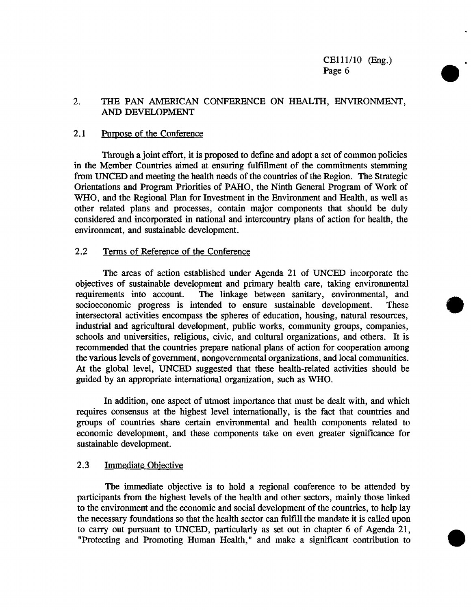# 2**.** THE PAN A**M**ERICAN CONFERENCE ON HEALTH, ENVIRON**M**ENT, AND DEVELOP**M**ENT

## 2.1 Purpose of the C*onference*

Through a joint eff*o*rt, it is pr*o*posed to define and ad*o*pt a set of comm*o*n policies in the Member C*o*untries aimed at ensuring fulfillment *o*f the c*o*mmitments stemming fr*o*m UNCED and meeting the health needs of the countries of the Region. The Strategic Orientations and Program Priorities of PAHO, the Ninth General Pr*o*gram *o*f W*o*rk *o*f WHO, and the Regional Plan f*o*r Investment in the Environment and Health, as well as *o*ther related plans and pr*o*cesses, contain major components that should be duly considered and incorp*o*rated in national and interc*o*untry plans of action for health, the environment, and sustainable development.

## 2**.**2 Terms of Reference of the Conference

The areas of action established under Agenda 21 *o*f UNCED incorporate the objectives of sustainable development and primary health care, taking environmental requirements into account. The linkage between sanitary, environmental, and The linkage between sanitary, environmental, and socioeconomic progress is intended to ensure sustainable development. These intersectoral activities encompass the spheres *o*f education, housing, natural resources, industrial and agricultural development, public w*o*rks, community gr*o*ups, companies, schools and universities, religi*o*us, civic, and cultural organizations, and others. It is recommended that the countries prepare national plans *o*f action f*o*r cooperation among the various levels of g*o*vernment, nongovernmental organizations, and local c*o*mmunities. At the global level, UNCED suggested that these health-related activities should be guided by an appr*o*priate international organization, such as WHO.

In addition, one aspect of utmost importance that must be dealt with, and which requires consensus at the highest level internationally, is the fact that countries and groups of countries share certain environmental and health components related to economic devel*o*pment, and these components take *o*n even greater significance for sustainable development.

# 2.3 Immediate Objective

The immediate objective is to hold a regional conference to be attended by participants from the highest levels of the health and other sectors, mainly those linked to the environment and the economic and social development of the countries, to help lay the necessary foundations so that the health sector can fulfill the mandate it is called upon to carry out pursuant to UNCED, particularly as set out in chapter 6 of Agenda 21, "Protecting and Promoting Human Health," and make a significant contribution to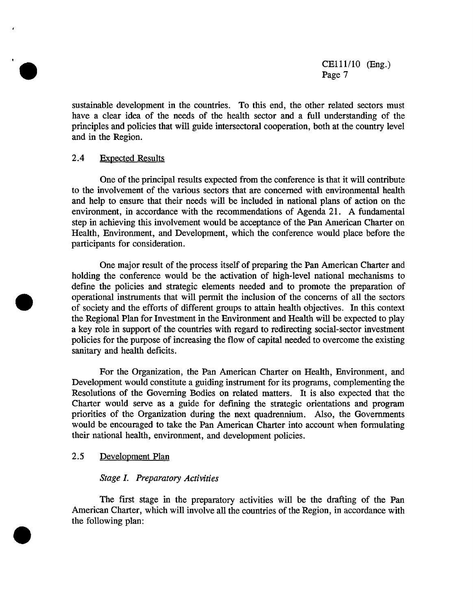sustainable development in the countries. To this end, the other related sectors must have a clear idea of the needs of the health sector and a full understanding of the principles and policies that will guide intersectoral cooperation, both at the country level and in the Region.

#### 2.4 Expected Results

One *o*f the principal results expected from the conference is that it will contribute to the involvement of the various sectors that are concerned with environmental health and help t*o* ensure that their needs will be included in national plans *o*f action on the environment, in accordance with the recommendations of Agenda 21. A fundamental step in achieving this involvement would be acceptance of the Pan American Charter on Health, Environment, and Development, which the conference w*o*uld place before the participants for consideration.

One major result of the process itself of preparing the Pan American Charter and holding the conference would be the activation of high-level national mechanisms to def'me the policies and strategic elements needed and to promote the preparation of operational instruments that will permit the inclusion of the concerns of all the sectors of society and the efforts of different groups to attain health objectives. In this context the Regional Plan for Investment in the Environment and Health will be expected to play a key role in suppo**rt** of the countries with regard to redirecting social-sector investment policies for the purpose of increasing the flow of capital needed to overcome the existing sanitary and health deficits.

For the Organization, the Pan American Charter on Health, Environment, and Development would constitute a guiding instrument for its programs, complementing the Resolutions of the Governing Bodies on related matters. It is also expected that the Charter would serve as a guide for def'ming the strategic orientations and program priorities of the Organization during the next quadrennium. Also, the Governments would be encouraged to take the Pan American Charter into account when formulating their national health, environment, and development policies.

# 2.5 Development Plan

#### **Stage L Preparatory Activities**

The first stage in the preparatory activities will be the drafting of the Pan American Charter, which will involve all the countries of the Region, in accordance with the following plan: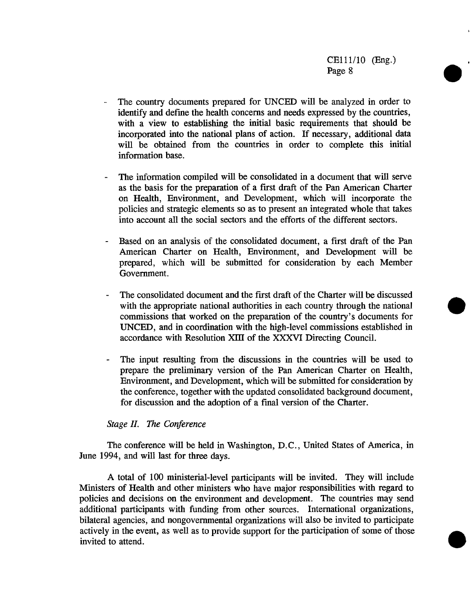- The country documents prepared for UNCED will be analyzed in order to identify and define the health concerns and needs expressed by the countries, with a view t*o* establishing the initial basic requirements that should be incorp*o*rated into the national plans of action. If necessary, additi*o*nal data will be *o*btained from the countries in order to complete this initial inf*o*rmati*o*n base.
- The information compiled will be consolidated in a document that will serve as the basis for the preparation of a first draft of the Pan American Charter on Health, Environment, and Development, which will incorporate the policies and strategic elements so as to present an integrated whole that takes into account all the social sectors and the efforts of the different sectors.
- Based on an analysis of the consolidated document, a first draft of the Pan American Charter on Health, Environment, and Development will be prepared, which will be submitted for consideration by each Member Government.
- The consolidated document and the first draft of the Charter will be discussed with the appropriate national authorities in each country through the national commissions that worked on the preparation of the country's documents for UNCED, and in coordination with the high-level commissions established in accordance with Resolution XIII of the XXXVI Directing Council.
- The input resulting from the discussions in the countries will be used to prepare the preliminary version of the Pan American Charter on Health, Environment, and Development, which will be submitted for consideration by the conference, together with the updated consolidated background document, for discussion and the adoption of a final version of the Charter.

# **Stage II**. **The Conference**

The c*o*nference will be held in Washington, D.C., United States of America, in June 1994, and will last for three days.

A total of 100 ministerial-level participants will be invited. They will include Ministers of Health and other ministers who have major responsibilities with regard to policies and decisions on the environment and development. The countries may send additional participants with funding from other sources. International organizations, bilateral agencies, and n*o*ngovernmental organizations will also be invited to participate actively in the event, as well as to provide support for the participation of some of those invited to attend.